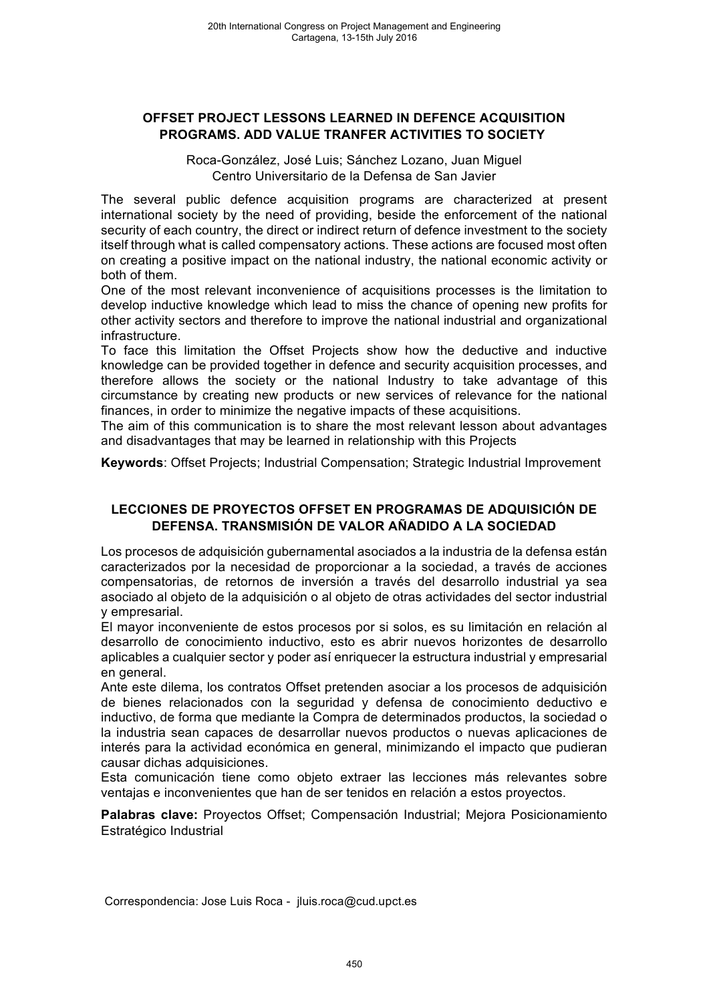### **OFFSET PROJECT LESSONS LEARNED IN DEFENCE ACQUISITION PROGRAMS. ADD VALUE TRANFER ACTIVITIES TO SOCIETY**

Roca-González, José Luis; Sánchez Lozano, Juan Miguel Centro Universitario de la Defensa de San Javier

The several public defence acquisition programs are characterized at present international society by the need of providing, beside the enforcement of the national security of each country, the direct or indirect return of defence investment to the society itself through what is called compensatory actions. These actions are focused most often on creating a positive impact on the national industry, the national economic activity or both of them.

One of the most relevant inconvenience of acquisitions processes is the limitation to develop inductive knowledge which lead to miss the chance of opening new profits for other activity sectors and therefore to improve the national industrial and organizational infrastructure.

To face this limitation the Offset Projects show how the deductive and inductive knowledge can be provided together in defence and security acquisition processes, and therefore allows the society or the national Industry to take advantage of this circumstance by creating new products or new services of relevance for the national finances, in order to minimize the negative impacts of these acquisitions.

The aim of this communication is to share the most relevant lesson about advantages and disadvantages that may be learned in relationship with this Projects

**Keywords**: Offset Projects; Industrial Compensation; Strategic Industrial Improvement

## **LECCIONES DE PROYECTOS OFFSET EN PROGRAMAS DE ADQUISICIÓN DE DEFENSA. TRANSMISIÓN DE VALOR AÑADIDO A LA SOCIEDAD**

Los procesos de adquisición gubernamental asociados a la industria de la defensa están caracterizados por la necesidad de proporcionar a la sociedad, a través de acciones compensatorias, de retornos de inversión a través del desarrollo industrial ya sea asociado al objeto de la adquisición o al objeto de otras actividades del sector industrial y empresarial.

El mayor inconveniente de estos procesos por si solos, es su limitación en relación al desarrollo de conocimiento inductivo, esto es abrir nuevos horizontes de desarrollo aplicables a cualquier sector y poder así enriquecer la estructura industrial y empresarial en general.

Ante este dilema, los contratos Offset pretenden asociar a los procesos de adquisición de bienes relacionados con la seguridad y defensa de conocimiento deductivo e inductivo, de forma que mediante la Compra de determinados productos, la sociedad o la industria sean capaces de desarrollar nuevos productos o nuevas aplicaciones de interés para la actividad económica en general, minimizando el impacto que pudieran causar dichas adquisiciones.

Esta comunicación tiene como objeto extraer las lecciones más relevantes sobre ventajas e inconvenientes que han de ser tenidos en relación a estos proyectos.

**Palabras clave:** Proyectos Offset; Compensación Industrial; Mejora Posicionamiento Estratégico Industrial

Correspondencia: Jose Luis Roca - jluis.roca@cud.upct.es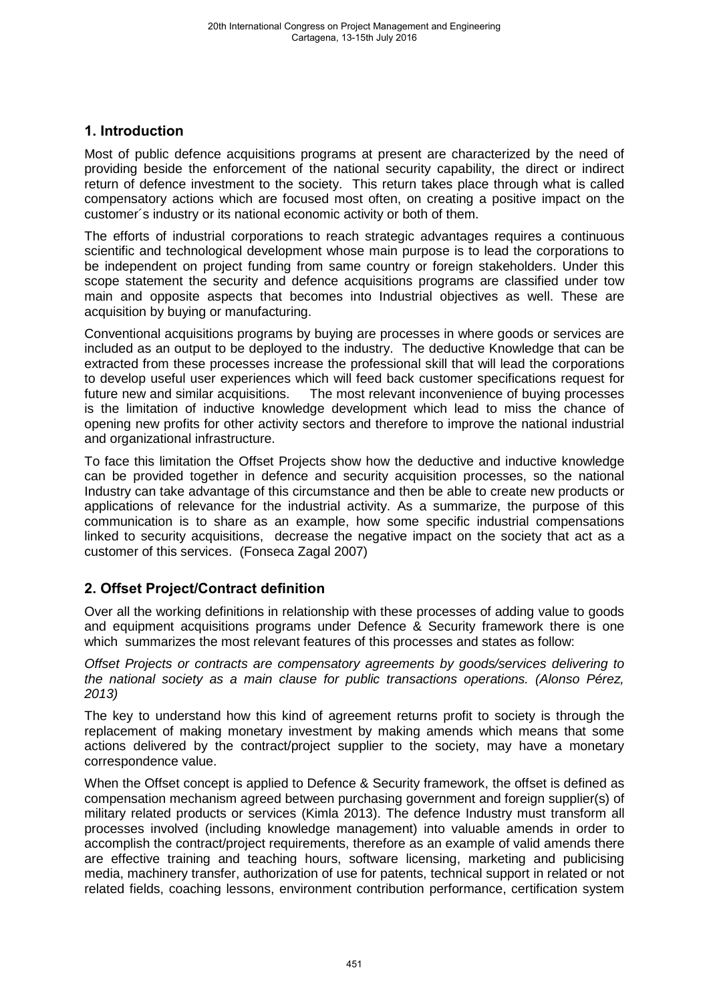# **1. Introduction**

Most of public defence acquisitions programs at present are characterized by the need of providing beside the enforcement of the national security capability, the direct or indirect return of defence investment to the society. This return takes place through what is called compensatory actions which are focused most often, on creating a positive impact on the customer´s industry or its national economic activity or both of them.

The efforts of industrial corporations to reach strategic advantages requires a continuous scientific and technological development whose main purpose is to lead the corporations to be independent on project funding from same country or foreign stakeholders. Under this scope statement the security and defence acquisitions programs are classified under tow main and opposite aspects that becomes into Industrial objectives as well. These are acquisition by buying or manufacturing.

Conventional acquisitions programs by buying are processes in where goods or services are included as an output to be deployed to the industry. The deductive Knowledge that can be extracted from these processes increase the professional skill that will lead the corporations to develop useful user experiences which will feed back customer specifications request for future new and similar acquisitions. The most relevant inconvenience of buying processes is the limitation of inductive knowledge development which lead to miss the chance of opening new profits for other activity sectors and therefore to improve the national industrial and organizational infrastructure.

To face this limitation the Offset Projects show how the deductive and inductive knowledge can be provided together in defence and security acquisition processes, so the national Industry can take advantage of this circumstance and then be able to create new products or applications of relevance for the industrial activity. As a summarize, the purpose of this communication is to share as an example, how some specific industrial compensations linked to security acquisitions, decrease the negative impact on the society that act as a customer of this services. (Fonseca Zagal 2007)

# **2. Offset Project/Contract definition**

Over all the working definitions in relationship with these processes of adding value to goods and equipment acquisitions programs under Defence & Security framework there is one which summarizes the most relevant features of this processes and states as follow:

*Offset Projects or contracts are compensatory agreements by goods/services delivering to the national society as a main clause for public transactions operations. (Alonso Pérez, 2013)* 

The key to understand how this kind of agreement returns profit to society is through the replacement of making monetary investment by making amends which means that some actions delivered by the contract/project supplier to the society, may have a monetary correspondence value.

When the Offset concept is applied to Defence & Security framework, the offset is defined as compensation mechanism agreed between purchasing government and foreign supplier(s) of military related products or services (Kimla 2013). The defence Industry must transform all processes involved (including knowledge management) into valuable amends in order to accomplish the contract/project requirements, therefore as an example of valid amends there are effective training and teaching hours, software licensing, marketing and publicising media, machinery transfer, authorization of use for patents, technical support in related or not related fields, coaching lessons, environment contribution performance, certification system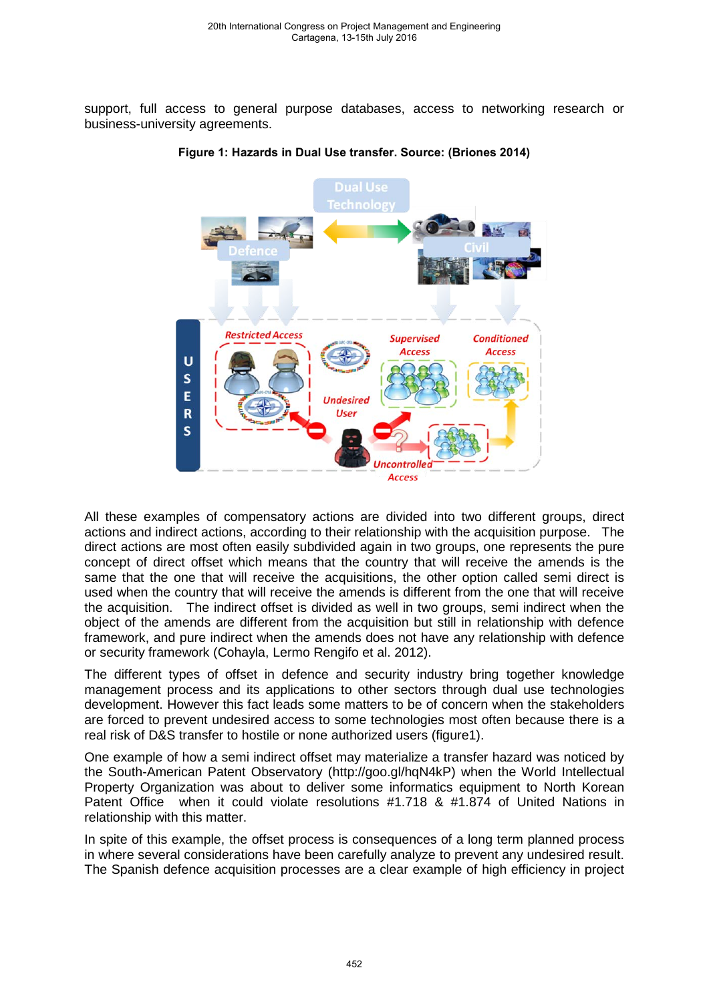support, full access to general purpose databases, access to networking research or business-university agreements.



#### **Figure 1: Hazards in Dual Use transfer. Source: (Briones 2014)**

All these examples of compensatory actions are divided into two different groups, direct actions and indirect actions, according to their relationship with the acquisition purpose. The direct actions are most often easily subdivided again in two groups, one represents the pure concept of direct offset which means that the country that will receive the amends is the same that the one that will receive the acquisitions, the other option called semi direct is used when the country that will receive the amends is different from the one that will receive the acquisition. The indirect offset is divided as well in two groups, semi indirect when the object of the amends are different from the acquisition but still in relationship with defence framework, and pure indirect when the amends does not have any relationship with defence or security framework (Cohayla, Lermo Rengifo et al. 2012).

The different types of offset in defence and security industry bring together knowledge management process and its applications to other sectors through dual use technologies development. However this fact leads some matters to be of concern when the stakeholders are forced to prevent undesired access to some technologies most often because there is a real risk of D&S transfer to hostile or none authorized users (figure1).

One example of how a semi indirect offset may materialize a transfer hazard was noticed by the South-American Patent Observatory (http://goo.gl/hqN4kP) when the World Intellectual Property Organization was about to deliver some informatics equipment to North Korean Patent Office when it could violate resolutions #1.718 & #1.874 of United Nations in relationship with this matter.

In spite of this example, the offset process is consequences of a long term planned process in where several considerations have been carefully analyze to prevent any undesired result. The Spanish defence acquisition processes are a clear example of high efficiency in project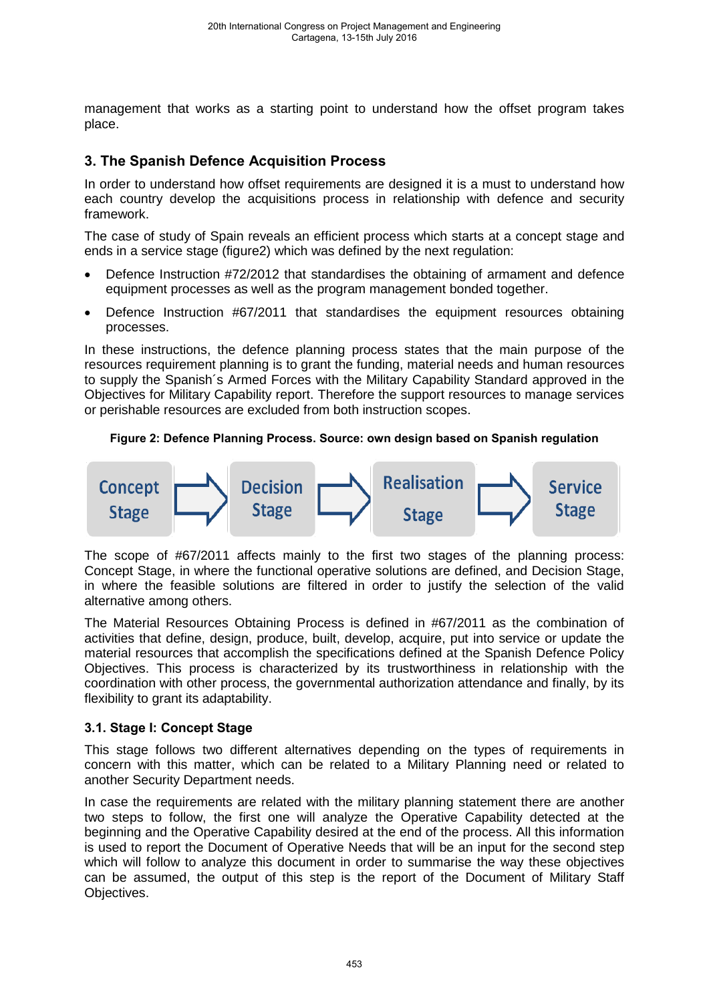management that works as a starting point to understand how the offset program takes place.

# **3. The Spanish Defence Acquisition Process**

In order to understand how offset requirements are designed it is a must to understand how each country develop the acquisitions process in relationship with defence and security framework.

The case of study of Spain reveals an efficient process which starts at a concept stage and ends in a service stage (figure2) which was defined by the next regulation:

- Defence Instruction #72/2012 that standardises the obtaining of armament and defence equipment processes as well as the program management bonded together.
- Defence Instruction #67/2011 that standardises the equipment resources obtaining processes.

In these instructions, the defence planning process states that the main purpose of the resources requirement planning is to grant the funding, material needs and human resources to supply the Spanish´s Armed Forces with the Military Capability Standard approved in the Objectives for Military Capability report. Therefore the support resources to manage services or perishable resources are excluded from both instruction scopes.

### **Figure 2: Defence Planning Process. Source: own design based on Spanish regulation**



The scope of #67/2011 affects mainly to the first two stages of the planning process: Concept Stage, in where the functional operative solutions are defined, and Decision Stage, in where the feasible solutions are filtered in order to justify the selection of the valid alternative among others.

The Material Resources Obtaining Process is defined in #67/2011 as the combination of activities that define, design, produce, built, develop, acquire, put into service or update the material resources that accomplish the specifications defined at the Spanish Defence Policy Objectives. This process is characterized by its trustworthiness in relationship with the coordination with other process, the governmental authorization attendance and finally, by its flexibility to grant its adaptability.

### **3.1. Stage I: Concept Stage**

This stage follows two different alternatives depending on the types of requirements in concern with this matter, which can be related to a Military Planning need or related to another Security Department needs.

In case the requirements are related with the military planning statement there are another two steps to follow, the first one will analyze the Operative Capability detected at the beginning and the Operative Capability desired at the end of the process. All this information is used to report the Document of Operative Needs that will be an input for the second step which will follow to analyze this document in order to summarise the way these objectives can be assumed, the output of this step is the report of the Document of Military Staff Objectives.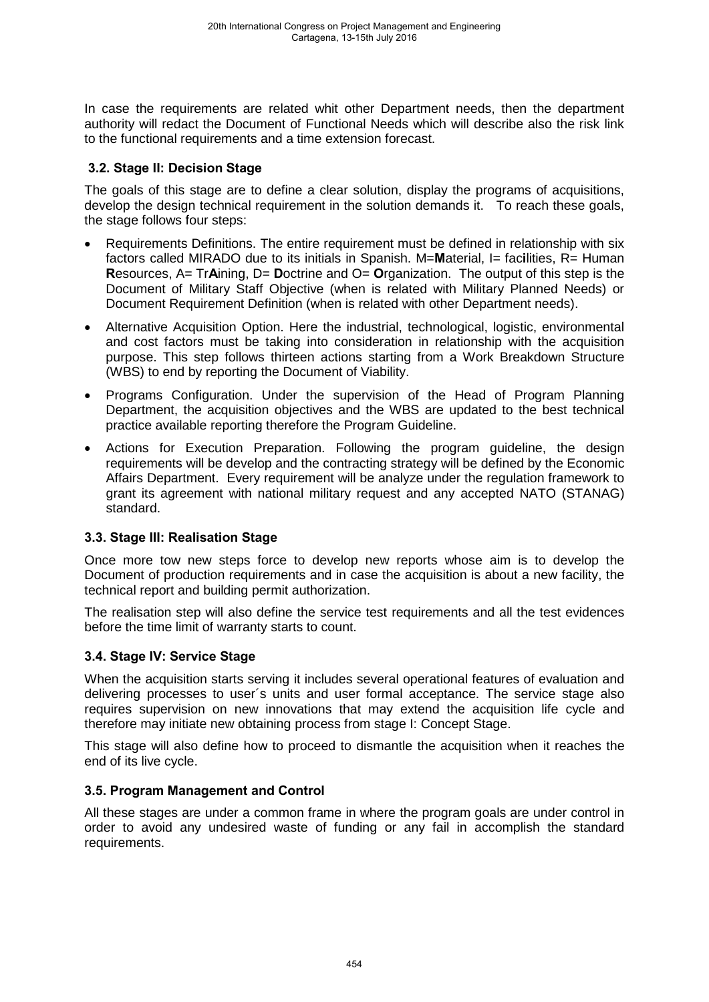In case the requirements are related whit other Department needs, then the department authority will redact the Document of Functional Needs which will describe also the risk link to the functional requirements and a time extension forecast.

## **3.2. Stage II: Decision Stage**

The goals of this stage are to define a clear solution, display the programs of acquisitions, develop the design technical requirement in the solution demands it. To reach these goals, the stage follows four steps:

- Requirements Definitions. The entire requirement must be defined in relationship with six factors called MIRADO due to its initials in Spanish. M=**M**aterial, I= fac**i**lities, R= Human **R**esources, A= Tr**A**ining, D= **D**octrine and O= **O**rganization. The output of this step is the Document of Military Staff Objective (when is related with Military Planned Needs) or Document Requirement Definition (when is related with other Department needs).
- Alternative Acquisition Option. Here the industrial, technological, logistic, environmental and cost factors must be taking into consideration in relationship with the acquisition purpose. This step follows thirteen actions starting from a Work Breakdown Structure (WBS) to end by reporting the Document of Viability.
- Programs Configuration. Under the supervision of the Head of Program Planning Department, the acquisition objectives and the WBS are updated to the best technical practice available reporting therefore the Program Guideline.
- Actions for Execution Preparation. Following the program guideline, the design requirements will be develop and the contracting strategy will be defined by the Economic Affairs Department. Every requirement will be analyze under the regulation framework to grant its agreement with national military request and any accepted NATO (STANAG) standard.

### **3.3. Stage III: Realisation Stage**

Once more tow new steps force to develop new reports whose aim is to develop the Document of production requirements and in case the acquisition is about a new facility, the technical report and building permit authorization.

The realisation step will also define the service test requirements and all the test evidences before the time limit of warranty starts to count.

## **3.4. Stage IV: Service Stage**

When the acquisition starts serving it includes several operational features of evaluation and delivering processes to user´s units and user formal acceptance. The service stage also requires supervision on new innovations that may extend the acquisition life cycle and therefore may initiate new obtaining process from stage I: Concept Stage.

This stage will also define how to proceed to dismantle the acquisition when it reaches the end of its live cycle.

### **3.5. Program Management and Control**

All these stages are under a common frame in where the program goals are under control in order to avoid any undesired waste of funding or any fail in accomplish the standard requirements.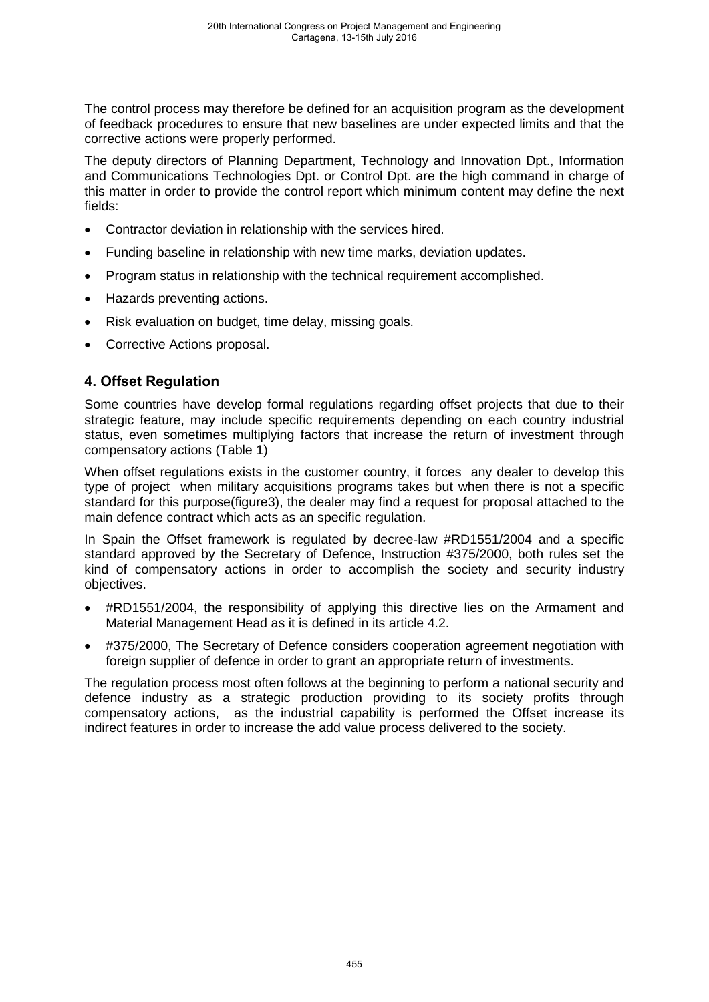The control process may therefore be defined for an acquisition program as the development of feedback procedures to ensure that new baselines are under expected limits and that the corrective actions were properly performed.

The deputy directors of Planning Department, Technology and Innovation Dpt., Information and Communications Technologies Dpt. or Control Dpt. are the high command in charge of this matter in order to provide the control report which minimum content may define the next fields:

- Contractor deviation in relationship with the services hired.
- Funding baseline in relationship with new time marks, deviation updates.
- Program status in relationship with the technical requirement accomplished.
- Hazards preventing actions.
- Risk evaluation on budget, time delay, missing goals.
- Corrective Actions proposal.

# **4. Offset Regulation**

Some countries have develop formal regulations regarding offset projects that due to their strategic feature, may include specific requirements depending on each country industrial status, even sometimes multiplying factors that increase the return of investment through compensatory actions (Table 1)

When offset regulations exists in the customer country, it forces any dealer to develop this type of project when military acquisitions programs takes but when there is not a specific standard for this purpose(figure3), the dealer may find a request for proposal attached to the main defence contract which acts as an specific regulation.

In Spain the Offset framework is regulated by decree-law #RD1551/2004 and a specific standard approved by the Secretary of Defence, Instruction #375/2000, both rules set the kind of compensatory actions in order to accomplish the society and security industry objectives.

- #RD1551/2004, the responsibility of applying this directive lies on the Armament and Material Management Head as it is defined in its article 4.2.
- #375/2000, The Secretary of Defence considers cooperation agreement negotiation with foreign supplier of defence in order to grant an appropriate return of investments.

The regulation process most often follows at the beginning to perform a national security and defence industry as a strategic production providing to its society profits through compensatory actions, as the industrial capability is performed the Offset increase its indirect features in order to increase the add value process delivered to the society.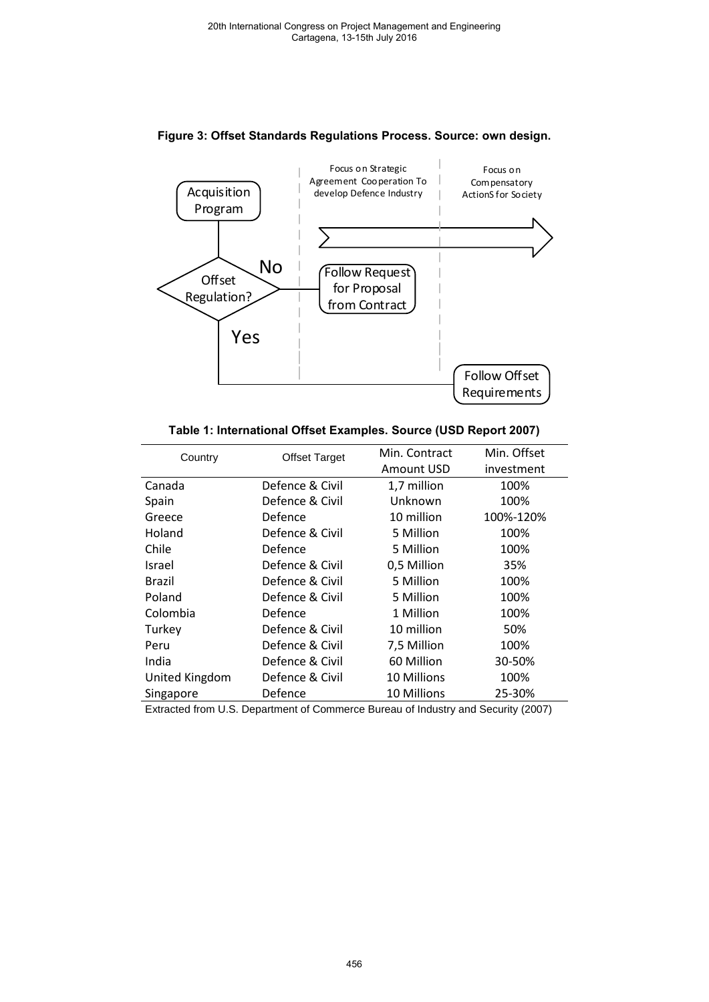

#### **Figure 3: Offset Standards Regulations Process. Source: own design.**

| Table 1: International Offset Examples. Source (USD Report 2007) |  |  |  |  |
|------------------------------------------------------------------|--|--|--|--|
|------------------------------------------------------------------|--|--|--|--|

| Country        | <b>Offset Target</b> | Min. Contract | Min. Offset |  |
|----------------|----------------------|---------------|-------------|--|
|                |                      | Amount USD    | investment  |  |
| Canada         | Defence & Civil      | 1,7 million   | 100%        |  |
| Spain          | Defence & Civil      | Unknown       | 100%        |  |
| Greece         | Defence              | 10 million    | 100%-120%   |  |
| Holand         | Defence & Civil      | 5 Million     | 100%        |  |
| Chile          | Defence              | 5 Million     | 100%        |  |
| Israel         | Defence & Civil      | 0,5 Million   | 35%         |  |
| Brazil         | Defence & Civil      | 5 Million     | 100%        |  |
| Poland         | Defence & Civil      | 5 Million     | 100%        |  |
| Colombia       | Defence              | 1 Million     | 100%        |  |
| Turkey         | Defence & Civil      | 10 million    | 50%         |  |
| Peru           | Defence & Civil      | 7,5 Million   | 100%        |  |
| India          | Defence & Civil      | 60 Million    | 30-50%      |  |
| United Kingdom | Defence & Civil      | 10 Millions   | 100%        |  |
| Singapore      | Defence              | 10 Millions   | 25-30%      |  |

Extracted from U.S. Department of Commerce Bureau of Industry and Security (2007)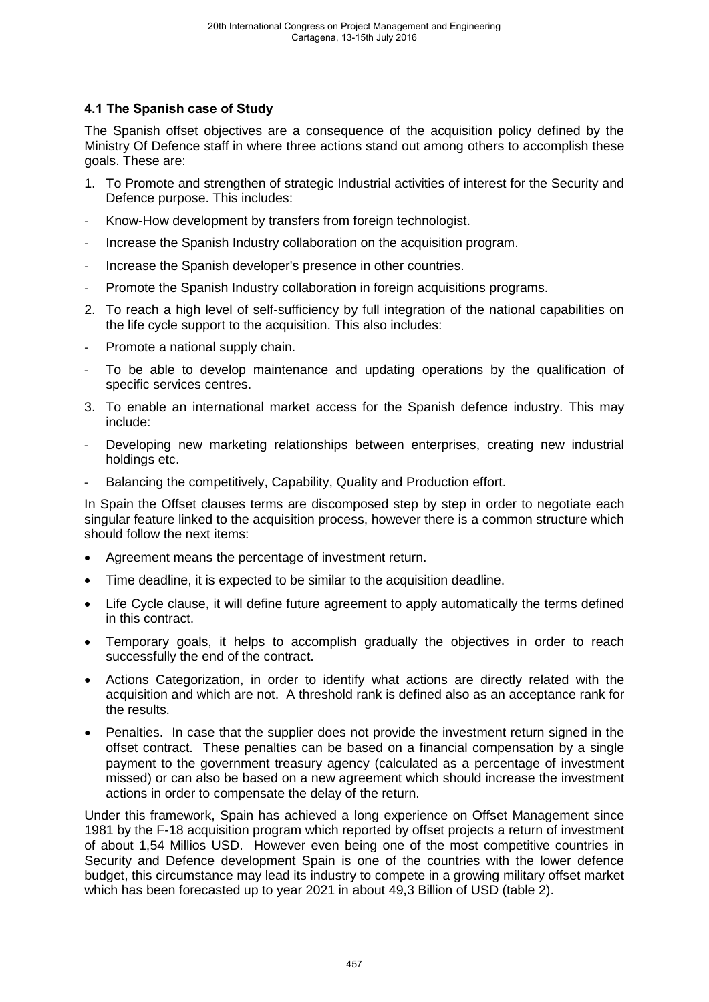# **4.1 The Spanish case of Study**

The Spanish offset objectives are a consequence of the acquisition policy defined by the Ministry Of Defence staff in where three actions stand out among others to accomplish these goals. These are:

- 1. To Promote and strengthen of strategic Industrial activities of interest for the Security and Defence purpose. This includes:
- Know-How development by transfers from foreign technologist.
- Increase the Spanish Industry collaboration on the acquisition program.
- Increase the Spanish developer's presence in other countries.
- Promote the Spanish Industry collaboration in foreign acquisitions programs.
- 2. To reach a high level of self-sufficiency by full integration of the national capabilities on the life cycle support to the acquisition. This also includes:
- Promote a national supply chain.
- To be able to develop maintenance and updating operations by the qualification of specific services centres.
- 3. To enable an international market access for the Spanish defence industry. This may include:
- Developing new marketing relationships between enterprises, creating new industrial holdings etc.
- Balancing the competitively, Capability, Quality and Production effort.

In Spain the Offset clauses terms are discomposed step by step in order to negotiate each singular feature linked to the acquisition process, however there is a common structure which should follow the next items:

- Agreement means the percentage of investment return.
- Time deadline, it is expected to be similar to the acquisition deadline.
- Life Cycle clause, it will define future agreement to apply automatically the terms defined in this contract.
- Temporary goals, it helps to accomplish gradually the objectives in order to reach successfully the end of the contract.
- Actions Categorization, in order to identify what actions are directly related with the acquisition and which are not. A threshold rank is defined also as an acceptance rank for the results.
- Penalties. In case that the supplier does not provide the investment return signed in the offset contract. These penalties can be based on a financial compensation by a single payment to the government treasury agency (calculated as a percentage of investment missed) or can also be based on a new agreement which should increase the investment actions in order to compensate the delay of the return.

Under this framework, Spain has achieved a long experience on Offset Management since 1981 by the F-18 acquisition program which reported by offset projects a return of investment of about 1,54 Millios USD. However even being one of the most competitive countries in Security and Defence development Spain is one of the countries with the lower defence budget, this circumstance may lead its industry to compete in a growing military offset market which has been forecasted up to year 2021 in about 49,3 Billion of USD (table 2).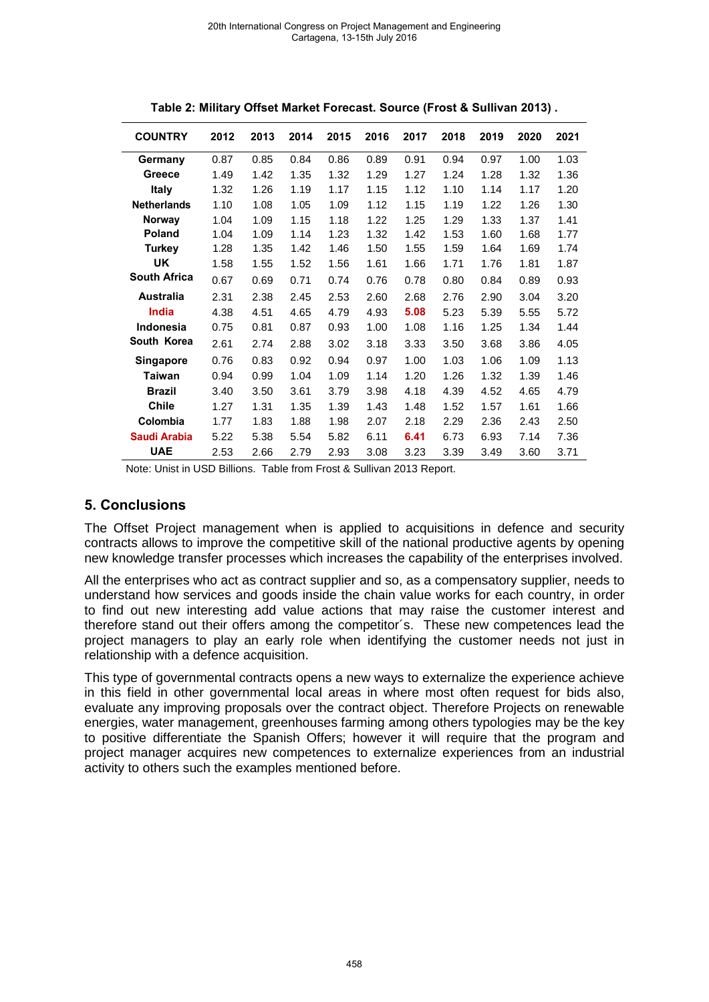| <b>COUNTRY</b>      | 2012 | 2013 | 2014 | 2015 | 2016 | 2017 | 2018 | 2019 | 2020 | 2021 |
|---------------------|------|------|------|------|------|------|------|------|------|------|
| Germany             | 0.87 | 0.85 | 0.84 | 0.86 | 0.89 | 0.91 | 0.94 | 0.97 | 1.00 | 1.03 |
| Greece              | 1.49 | 1.42 | 1.35 | 1.32 | 1.29 | 1.27 | 1.24 | 1.28 | 1.32 | 1.36 |
| <b>Italy</b>        | 1.32 | 1.26 | 1.19 | 1.17 | 1.15 | 1.12 | 1.10 | 1.14 | 1.17 | 1.20 |
| <b>Netherlands</b>  | 1.10 | 1.08 | 1.05 | 1.09 | 1.12 | 1.15 | 1.19 | 1.22 | 1.26 | 1.30 |
| Norway              | 1.04 | 1.09 | 1.15 | 1.18 | 1.22 | 1.25 | 1.29 | 1.33 | 1.37 | 1.41 |
| <b>Poland</b>       | 1.04 | 1.09 | 1.14 | 1.23 | 1.32 | 1.42 | 1.53 | 1.60 | 1.68 | 1.77 |
| <b>Turkey</b>       | 1.28 | 1.35 | 1.42 | 1.46 | 1.50 | 1.55 | 1.59 | 1.64 | 1.69 | 1.74 |
| <b>UK</b>           | 1.58 | 1.55 | 1.52 | 1.56 | 1.61 | 1.66 | 1.71 | 1.76 | 1.81 | 1.87 |
| <b>South Africa</b> | 0.67 | 0.69 | 0.71 | 0.74 | 0.76 | 0.78 | 0.80 | 0.84 | 0.89 | 0.93 |
| <b>Australia</b>    | 2.31 | 2.38 | 2.45 | 2.53 | 2.60 | 2.68 | 2.76 | 2.90 | 3.04 | 3.20 |
| <b>India</b>        | 4.38 | 4.51 | 4.65 | 4.79 | 4.93 | 5.08 | 5.23 | 5.39 | 5.55 | 5.72 |
| <b>Indonesia</b>    | 0.75 | 0.81 | 0.87 | 0.93 | 1.00 | 1.08 | 1.16 | 1.25 | 1.34 | 1.44 |
| South Korea         | 2.61 | 2.74 | 2.88 | 3.02 | 3.18 | 3.33 | 3.50 | 3.68 | 3.86 | 4.05 |
| <b>Singapore</b>    | 0.76 | 0.83 | 0.92 | 0.94 | 0.97 | 1.00 | 1.03 | 1.06 | 1.09 | 1.13 |
| <b>Taiwan</b>       | 0.94 | 0.99 | 1.04 | 1.09 | 1.14 | 1.20 | 1.26 | 1.32 | 1.39 | 1.46 |
| <b>Brazil</b>       | 3.40 | 3.50 | 3.61 | 3.79 | 3.98 | 4.18 | 4.39 | 4.52 | 4.65 | 4.79 |
| <b>Chile</b>        | 1.27 | 1.31 | 1.35 | 1.39 | 1.43 | 1.48 | 1.52 | 1.57 | 1.61 | 1.66 |
| Colombia            | 1.77 | 1.83 | 1.88 | 1.98 | 2.07 | 2.18 | 2.29 | 2.36 | 2.43 | 2.50 |
| Saudi Arabia        | 5.22 | 5.38 | 5.54 | 5.82 | 6.11 | 6.41 | 6.73 | 6.93 | 7.14 | 7.36 |
| <b>UAE</b>          | 2.53 | 2.66 | 2.79 | 2.93 | 3.08 | 3.23 | 3.39 | 3.49 | 3.60 | 3.71 |

|  |  |  | Table 2: Military Offset Market Forecast. Source (Frost & Sullivan 2013). |  |
|--|--|--|---------------------------------------------------------------------------|--|
|--|--|--|---------------------------------------------------------------------------|--|

Note: Unist in USD Billions. Table from Frost & Sullivan 2013 Report.

### **5. Conclusions**

The Offset Project management when is applied to acquisitions in defence and security contracts allows to improve the competitive skill of the national productive agents by opening new knowledge transfer processes which increases the capability of the enterprises involved.

All the enterprises who act as contract supplier and so, as a compensatory supplier, needs to understand how services and goods inside the chain value works for each country, in order to find out new interesting add value actions that may raise the customer interest and therefore stand out their offers among the competitor´s. These new competences lead the project managers to play an early role when identifying the customer needs not just in relationship with a defence acquisition.

This type of governmental contracts opens a new ways to externalize the experience achieve in this field in other governmental local areas in where most often request for bids also, evaluate any improving proposals over the contract object. Therefore Projects on renewable energies, water management, greenhouses farming among others typologies may be the key to positive differentiate the Spanish Offers; however it will require that the program and project manager acquires new competences to externalize experiences from an industrial activity to others such the examples mentioned before.